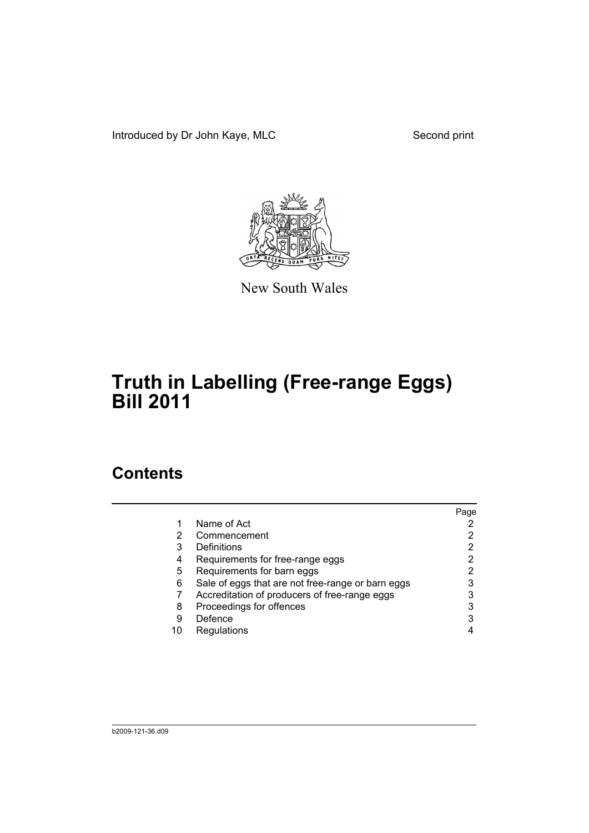Introduced by Dr John Kaye, MLC Second print



New South Wales

# **Truth in Labelling (Free-range Eggs) Bill 2011**

### **Contents**

| Page |
|------|
|      |
|      |
| 2    |
|      |
|      |
| 3    |
|      |
| 3    |
| 3    |
|      |
|      |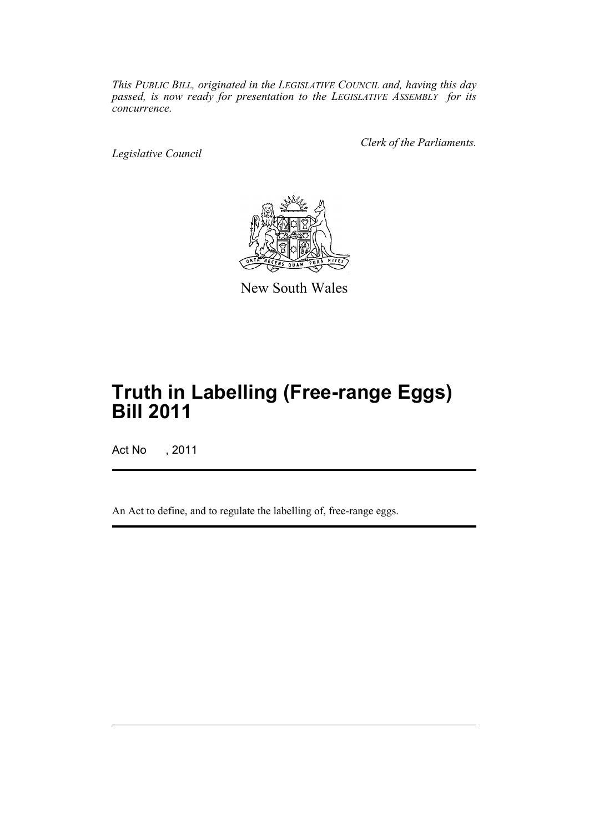*This PUBLIC BILL, originated in the LEGISLATIVE COUNCIL and, having this day passed, is now ready for presentation to the LEGISLATIVE ASSEMBLY for its concurrence.*

*Legislative Council*

*Clerk of the Parliaments.*



New South Wales

## **Truth in Labelling (Free-range Eggs) Bill 2011**

Act No , 2011

An Act to define, and to regulate the labelling of, free-range eggs.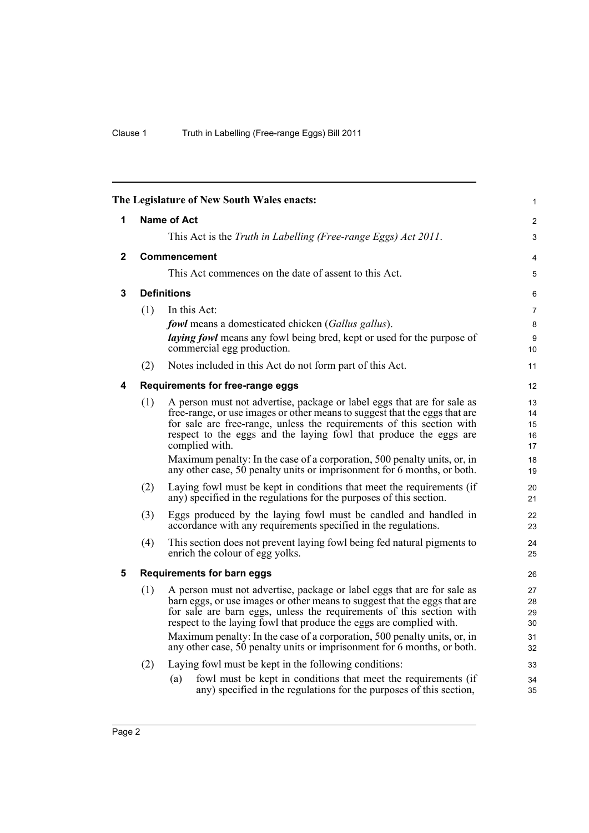<span id="page-3-4"></span><span id="page-3-3"></span><span id="page-3-2"></span><span id="page-3-1"></span><span id="page-3-0"></span>

| The Legislature of New South Wales enacts: |                                   |                                                                                                                                                   |          |  |  |
|--------------------------------------------|-----------------------------------|---------------------------------------------------------------------------------------------------------------------------------------------------|----------|--|--|
| 1                                          | Name of Act                       |                                                                                                                                                   |          |  |  |
|                                            |                                   | This Act is the Truth in Labelling (Free-range Eggs) Act 2011.                                                                                    | 3        |  |  |
| $\mathbf{2}$                               | <b>Commencement</b>               |                                                                                                                                                   |          |  |  |
|                                            |                                   | This Act commences on the date of assent to this Act.                                                                                             | 5        |  |  |
| 3                                          | <b>Definitions</b>                |                                                                                                                                                   |          |  |  |
|                                            | (1)                               | In this Act:                                                                                                                                      | 7        |  |  |
|                                            |                                   | <b>fowl</b> means a domesticated chicken (Gallus gallus).                                                                                         | 8        |  |  |
|                                            |                                   | <i>laying fowl</i> means any fowl being bred, kept or used for the purpose of<br>commercial egg production.                                       | 9<br>10  |  |  |
|                                            | (2)                               | Notes included in this Act do not form part of this Act.                                                                                          | 11       |  |  |
| 4                                          |                                   | Requirements for free-range eggs                                                                                                                  | 12       |  |  |
|                                            | (1)                               | A person must not advertise, package or label eggs that are for sale as                                                                           | 13       |  |  |
|                                            |                                   | free-range, or use images or other means to suggest that the eggs that are                                                                        | 14       |  |  |
|                                            |                                   | for sale are free-range, unless the requirements of this section with<br>respect to the eggs and the laying fowl that produce the eggs are        | 15<br>16 |  |  |
|                                            |                                   | complied with.                                                                                                                                    | 17       |  |  |
|                                            |                                   | Maximum penalty: In the case of a corporation, 500 penalty units, or, in                                                                          | 18       |  |  |
|                                            |                                   | any other case, 50 penalty units or imprisonment for 6 months, or both.                                                                           | 19       |  |  |
|                                            | (2)                               | Laying fowl must be kept in conditions that meet the requirements (if<br>any) specified in the regulations for the purposes of this section.      | 20<br>21 |  |  |
|                                            | (3)                               | Eggs produced by the laying fowl must be candled and handled in<br>accordance with any requirements specified in the regulations.                 | 22<br>23 |  |  |
|                                            | (4)                               | This section does not prevent laying fowl being fed natural pigments to                                                                           | 24       |  |  |
|                                            |                                   | enrich the colour of egg yolks.                                                                                                                   | 25       |  |  |
| 5                                          | <b>Requirements for barn eggs</b> |                                                                                                                                                   |          |  |  |
|                                            | (1)                               | A person must not advertise, package or label eggs that are for sale as                                                                           | 27       |  |  |
|                                            |                                   | barn eggs, or use images or other means to suggest that the eggs that are<br>for sale are barn eggs, unless the requirements of this section with | 28<br>29 |  |  |
|                                            |                                   | respect to the laying fowl that produce the eggs are complied with.                                                                               | 30       |  |  |
|                                            |                                   | Maximum penalty: In the case of a corporation, 500 penalty units, or, in                                                                          | 31       |  |  |
|                                            |                                   | any other case, 50 penalty units or imprisonment for 6 months, or both.                                                                           | 32       |  |  |
|                                            | (2)                               | Laying fowl must be kept in the following conditions:                                                                                             | 33       |  |  |
|                                            |                                   | fowl must be kept in conditions that meet the requirements (if<br>(a)<br>any) specified in the regulations for the purposes of this section,      | 34<br>35 |  |  |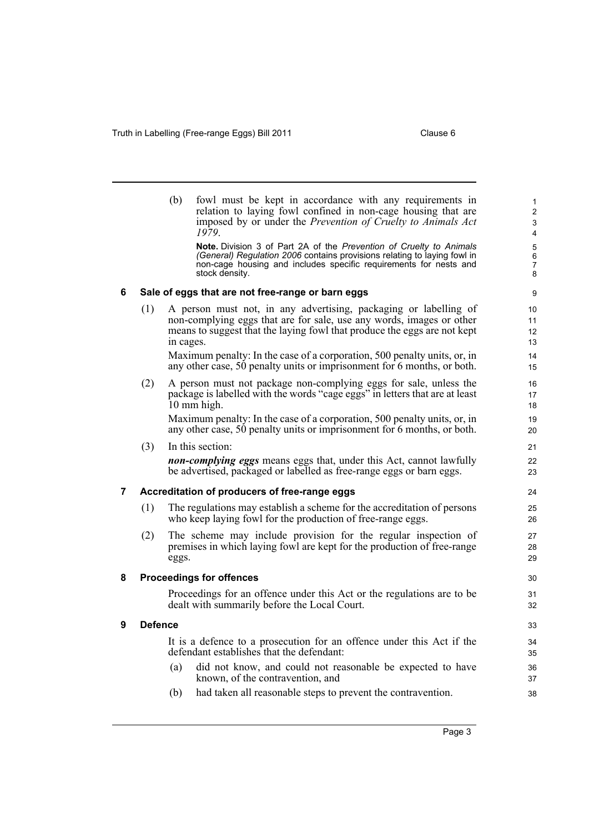<span id="page-4-3"></span><span id="page-4-2"></span><span id="page-4-1"></span>**9 Defence**

<span id="page-4-0"></span>

|   |                                                                                                                    | (b)       | fowl must be kept in accordance with any requirements in<br>relation to laying fowl confined in non-cage housing that are<br>imposed by or under the Prevention of Cruelty to Animals Act<br>1979.                                                   | 1<br>$\overline{2}$<br>3<br>$\overline{\mathbf{4}}$ |  |  |
|---|--------------------------------------------------------------------------------------------------------------------|-----------|------------------------------------------------------------------------------------------------------------------------------------------------------------------------------------------------------------------------------------------------------|-----------------------------------------------------|--|--|
|   |                                                                                                                    |           | <b>Note.</b> Division 3 of Part 2A of the <i>Prevention of Cruelty to Animals</i><br>(General) Regulation 2006 contains provisions relating to laying fowl in<br>non-cage housing and includes specific requirements for nests and<br>stock density. | $\mathbf 5$<br>$\,6\,$<br>$\overline{7}$<br>$\bf 8$ |  |  |
| 6 | Sale of eggs that are not free-range or barn eggs                                                                  |           |                                                                                                                                                                                                                                                      |                                                     |  |  |
|   | (1)                                                                                                                | in cages. | A person must not, in any advertising, packaging or labelling of<br>non-complying eggs that are for sale, use any words, images or other<br>means to suggest that the laying fowl that produce the eggs are not kept                                 | 10<br>11<br>12<br>13                                |  |  |
|   |                                                                                                                    |           | Maximum penalty: In the case of a corporation, 500 penalty units, or, in<br>any other case, 50 penalty units or imprisonment for 6 months, or both.                                                                                                  | 14<br>15                                            |  |  |
|   | (2)                                                                                                                |           | A person must not package non-complying eggs for sale, unless the<br>package is labelled with the words "cage eggs" in letters that are at least<br>10 mm high.                                                                                      | 16<br>17<br>18                                      |  |  |
|   |                                                                                                                    |           | Maximum penalty: In the case of a corporation, 500 penalty units, or, in<br>any other case, 50 penalty units or imprisonment for 6 months, or both.                                                                                                  | 19<br>20                                            |  |  |
|   | (3)                                                                                                                |           | In this section:                                                                                                                                                                                                                                     | 21                                                  |  |  |
|   |                                                                                                                    |           | <b>non-complying eggs</b> means eggs that, under this Act, cannot lawfully<br>be advertised, packaged or labelled as free-range eggs or barn eggs.                                                                                                   | 22<br>23                                            |  |  |
| 7 | Accreditation of producers of free-range eggs<br>24                                                                |           |                                                                                                                                                                                                                                                      |                                                     |  |  |
|   | (1)                                                                                                                |           | The regulations may establish a scheme for the accreditation of persons<br>who keep laying fowl for the production of free-range eggs.                                                                                                               | 25<br>26                                            |  |  |
|   | (2)                                                                                                                | eggs.     | The scheme may include provision for the regular inspection of<br>premises in which laying fowl are kept for the production of free-range                                                                                                            | 27<br>28<br>29                                      |  |  |
| 8 | <b>Proceedings for offences</b><br>30                                                                              |           |                                                                                                                                                                                                                                                      |                                                     |  |  |
|   |                                                                                                                    |           | Proceedings for an offence under this Act or the regulations are to be<br>dealt with summarily before the Local Court.                                                                                                                               | 31<br>32                                            |  |  |
| 9 | <b>Defence</b>                                                                                                     |           |                                                                                                                                                                                                                                                      |                                                     |  |  |
|   | It is a defence to a prosecution for an offence under this Act if the<br>defendant establishes that the defendant: |           |                                                                                                                                                                                                                                                      |                                                     |  |  |
|   |                                                                                                                    | (a)       | did not know, and could not reasonable be expected to have<br>known, of the contravention, and                                                                                                                                                       | 36<br>37                                            |  |  |
|   |                                                                                                                    | (b)       | had taken all reasonable steps to prevent the contravention.                                                                                                                                                                                         | 38                                                  |  |  |